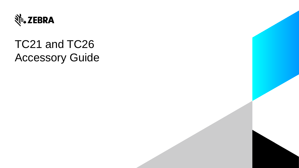

# TC21 and TC26 Accessory Guide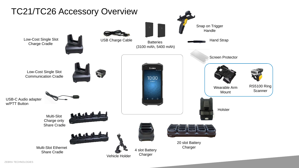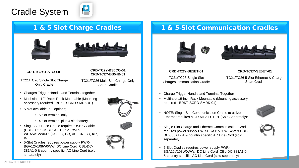# Cradle System







#### **CRD-TC2Y-BS1CO-01**

**CRD-TC2Y-BS5CO-01 CRD-TC2Y-BS54B-01** 

TC21/TC26 Single Slot Charge Only Cradle

TC21/TC26 Multi-Slot Charge Only **ShareCradle** 

- Charges Trigger Handle and Terminal together
- Multi-slot 19" Rack: Rack Mountable (Mounting accessory required - BRKT-SCRD-SMRK-01)
- 5-slot available in 2 options;
	- 5 slot terminal only
	- 4 slot terminal plus 4 slot battery
- Single Slot Base Cradle requires USB C Cable (CBL-TC5X-USBC2A-01, PS: PWR-WUA5V12W0XX (US, EU, GB, AU, CN, BR, KR, IN)
- 5-Slot Cradles requires power supply PWR-BGA12V108W0WW, DC Line Cord CBL-DC-381A1-0 & country specific AC Line Cord (sold separately)







### 1 & 5 Slot Charge Cradles 1 & 5-Slot Communication Cradles





**CRD-TC2Y-SE1ET-01**

TC21/TC26 Single Slot Charge/Communication Cradle

separately)

TC21/TC26 5-Slot Ethernet & Charge **ShareCradle** 

**CRD-TC2Y-SE5ET-01**

- Charge Trigger Handle and Terminal Together
- Multi-slot 19-inch Rack Mountable (Mounting accessory required - BRKT-SCRD-SMRK-01)



- NOTE: Single Slot Communication Cradle to utilize Ethernet requires MOD-MT2-EU1-01 (Sold Separately):
- Single Slot Charge and Ethernet Communication Cradle requires power supply PWR-BGA12V50W0WW & CBL-DC-388A1-01 & country specific AC Line Cord (sold
- 5-Slot Cradles requires power supply PWR-BGA12V108W0WW, DC Line Cord CBL-DC-381A1-0 & country specific AC Line Cord (sold separately)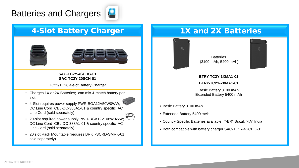# Batteries and Chargers



## 4-Slot Battery Charger 1X and 2X Batteries





### **SAC-TC2Y-4SCHG-01 SAC-TC2Y-20SCH-01**

TC21/TC26 4-slot Battery Charger

• Charges 1X or 2X Batteries; can mix & match battery per **Fig. 12 Contract Contract Contract Contract Contract Contract Contract Contract Contract Contract Contract Contract Contract Contract Contract Contract Contract Co** slot



- 4-Slot requires power supply PWR-BGA12V50W0WW; DC Line Cord CBL-DC-388A1-01 & country specific AC Line Cord (sold separately)
- 20-slot required power supply PWR-BGA12V108W0WW; DC Line Cord CBL-DC-388A1-01 & country specific AC Line Cord (sold separately)
- 20 slot Rack Mountable (requires BRKT-SCRD-SMRK-01 sold separately)



**Batteries** (3100 mAh, 5400 mAh)



### **BTRY-TC2Y-1XMA1-01**

**BTRY-TC2Y-2XMA1-01**

Basic Battery 3100 mAh

- Basic Battery 3100 mAh
- Extended Battery 5400 mAh
- Country Specific Batteries available: "-BR" Brazil, "-IA" India
- Both compatible with battery charger SAC-TC2Y-4SCHG-01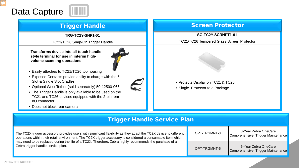# Data Capture



### Trigger Handle

**TRG-TC2Y-SNP1-01**

TC21/TC26 Snap-On Trigger Handle

**Transforms device into all-touch handle style terminal for use in interim highvolume scanning operations**

- Easily attaches to TC21/TC26 top housing
- Exposed Contacts provide ability to charge with the 5- Slot & Single Slot Cradles
- Optional Wrist Tether (sold separately) 50-12500-066
- The Trigger Handle is only available to be used on the TC21 and TC26 devices equipped with the 2-pin rear I/O connector.
- Does not block rear camera



### Screen Protector

### **SG-TC2Y-SCRNPT1-01**

### TC21/TC26 Tempered Glass Screen Protector



- Protects Display on TC21 & TC26
- Single Protector to a Package

### Trigger Handle Service Plan

The TC2X trigger accessory provides users with significant flexibility as they adapt the TC2X device to different operations within their retail environment. The TC2X trigger accessory is considered a consumable item which may need to be replaced during the life of a TC2X. Therefore, Zebra highly recommends the purchase of a Zebra trigger handle service plan.

| OPT-TRGMNT-3 | 3-Year Zebra OneCare<br>Comprehensive Trigger Maintenance |
|--------------|-----------------------------------------------------------|
| OPT-TRGMNT-5 | 5-Year Zebra OneCare<br>Comprehensive Trigger Maintenance |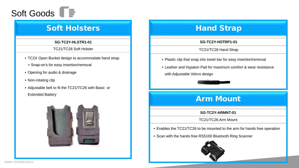

### Soft Holsters

#### **SG-TC2Y-HLSTR1-01**

#### TC21/TC26 Soft Holster

- TC2X Open Bucket design to accommodate hand strap
	- + Snap-on's for easy insertion/removal
- Opening for audio & drainage
- Non-rotating clip
- Adjustable belt to fit the TC21/TC26 with Basic or Extended Battery



## Hand Strap

### **SG-TC2Y-HSTRP1-01**

TC21/TC26 Hand Strap

- Plastic clip that snap into towel bar for easy insertion/removal
- Leather and Hypalon Pad for maximum comfort & wear resistance with Adjustable Velcro design



## Arm Mount

### **SG-TC2Y-ARMNT-01**

TC21/TC26 Arm Mount

- Enables the TC21/TC26 to be mounted to the arm for hands free operation
- Scan with the hands free RS5100 Bluetooth Ring Scanner

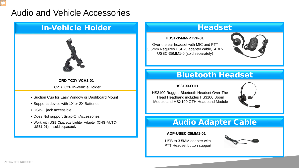# Audio and Vehicle Accessories

## In-Vehicle Holder **Headset**



### **CRD-TC2Y-VCH1-01**

TC21/TC26 In-Vehicle Holder

- Suction Cup for Easy Window or Dashboard Mount
- Supports device with 1X or 2X Batteries
- USB-C jack accessible
- Does Not support Snap-On Accessories
- Work with USB Cigarette Lighter Adapter (CHG-AUTO-Work with USB Cigarette Lighter Adapter (CHG-AUTO-<br>USB1-01) – sold separately

### **HDST-35MM-PTVP-01**

Over the ear headset with MIC and PTT 3.5mm Requires USB-C adapter cable, ADP-USBC-35MM1-0 (sold separately)



### Bluetooth Headset

### **HS3100-OTH**

HS3100 Rugged Bluetooth Headset Over-The-Head Headband includes HS3100 Boom Module and HSX100 OTH Headband Module



### **ADP-USBC-35MM1-01**

USB to 3.5MM adapter with PTT Headset button support

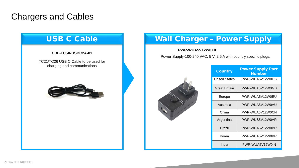# Chargers and Cables



## Wall Charger – Power Supply

### **PWR-WUA5V12W0XX**

Power Supply-100-240 VAC, 5 V, 2.5 A with country specific plugs.

|  | <b>Country</b>       | <b>Power Supply Part</b><br><b>Number</b> |
|--|----------------------|-------------------------------------------|
|  | <b>United States</b> | PWR-WUA5V12W0US                           |
|  | Great Britain        | PWR-WUA5V12W0GB                           |
|  | Europe               | PWR-WUA5V12W0EU                           |
|  | Australia            | PWR-WUA5V12W0AU                           |
|  | China                | PWR-WUA5V12W0CN                           |
|  | Argentina            | PWR-WUS5V12W0AR                           |
|  | <b>Brazil</b>        | PWR-WUA5V12W0BR                           |
|  | Korea                | PWR-WUA5V12W0KR                           |
|  | India                | PWR-WUA5V12W0IN                           |